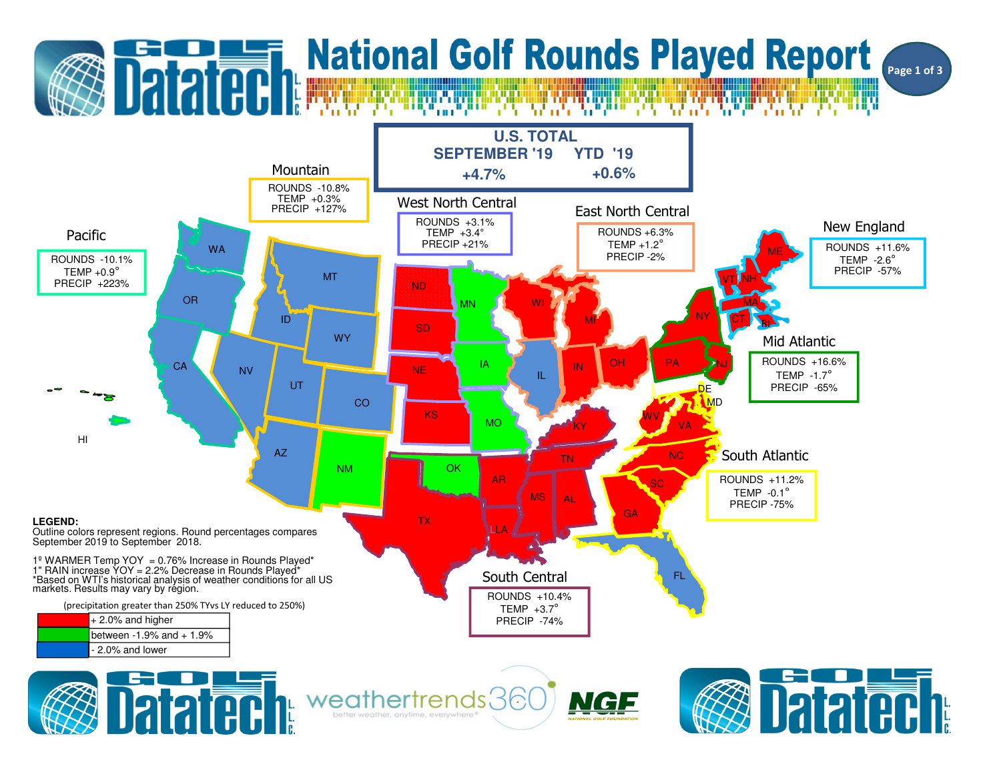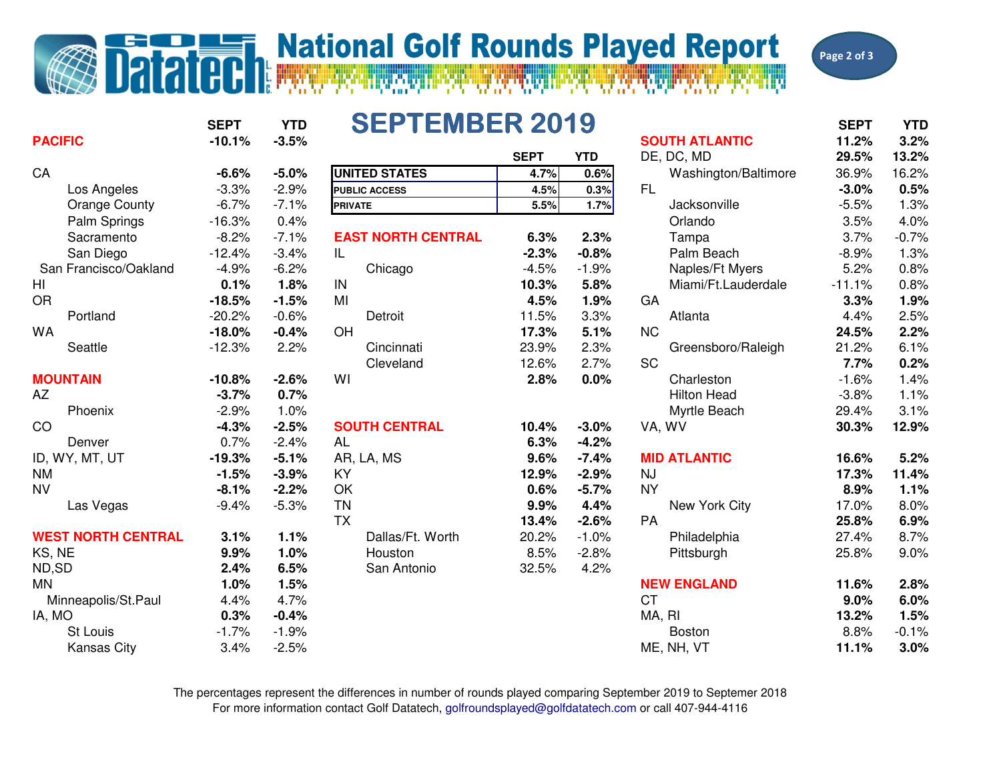## **National Golf Rounds Played Report**



**SEPT YTDSEPTEMBER 2019** SEPT YTD **PACIFIC -10.1% -3.5% SOUTH ATLANTIC 11.2% 3.2% SEPT YTD** DE, DC, MD **29.5%29.5% 13.2%**<br>36.9% **16.2% CA -6.6% -5.0% UNITED STATES 4.7% 0.6%** Washington/Baltimore 36.9% 16.2% Los Angeles -3.3% -2.9% **PUBLIC ACCESS 4.5% 0.3%** FL **-3.0% 0.5%** Orange County -6.7% -7.1% **5.5% 1.7%** Jacksonville -5.5% 1.3% Palm Springs -16.3% 0.4% Orlando 3.5% 4.0% Sacramento -8.2% -7.1% **EAST NORTH CENTRAL 6.3% 2.3%** Tampa 3.7% -0.7% San Diego -12.4% **-2.3% -0.8%-0.8%** Palm Beach -8.9% 1.3%<br>-1.9% Naples/Ft Myers 5.2% 0.8% San Francisco/Oakland -4.9% -6.2% Chicago -4.5%  $0.8%$ HI **0.1% 1.8%** IN **10.3% 5.8%** Miami/Ft.Lauderdale -11.1% 0.8% OR **-18.5% -1.5%** MI **4.5% 1.9%** GA **3.3% 1.9%** Portland -20.2% -0.6% Detroit 11.5% 3.3% Atlanta 4.4% 2.5% $2.2%$ WA **-18.0% -0.4%** OH **17.3% 5.1%** NC **24.5% 2.2%** Seattle -12.3% 2.2% Cincinnati 23.9% 2.3% Greensboro/Raleigh 21.2% 6.1% $0.2%$ Cleveland 12.6% 2.7% SC **7.7% 0.2%** $1.4%$ **MOUNTAIN -10.8% -2.6%** WI **2.8% 0.0%** Charleston -1.6% 1.4% AZ **-3.7% 0.7%** Hilton Head -3.8% 1.1% Phoenix  $-2.9\%$  1.0% % Myrtle Beach 29.4% 3.1%<br>02.4% 20.9% 10.4% 2.0% 20.2% 12.0% CO **-4.3% -2.5% SOUTH CENTRAL 10.4% -3.0%** VA, WV **30.3% 12.9%** Denver 0.7% -2.4% AL **6.3% -4.2%** $-7.4%$ ID, WY, MT, UT **-19.3% -5.1%** AR, LA, MS **9.6% -7.4% MID ATLANTIC 16.6% 5.2%** NM **-1.5% -3.9%** KY **12.9% -2.9%** NJ **17.3% 11.4%** NV **-8.1% -2.2%** OK **0.6% -5.7%** NY **8.9% 1.1%** Las Vegas -9.4% -5.3% TN **9.9% 4.4%**4.4% New York City 17.0% 8.0%<br>-2.6% PA 25.8% 6.9% TX **13.4% -2.6%** PA **25.8% 6.9% WEST NORTH CENTRAL 3.1% 1.1%** Dallas/Ft. Worth 20.2% -1.0% Philadelphia 27.4% 8.7% KS, NE **9.9% 1.0%** Houston 8.5% -2.8% Pittsburgh 25.8% 9.0% ND,SD **2.4% 6.5%6.5%** San Antonio 32.5% 4.2%<br>**1.5%** MN **1.0% 1.5%** Minneapolis/St.Paul 4.4% 4.7% **NEW ENGLAND 11.6% 2.8%** CT **9.0% 6.0%** IA, MO **0.3% -0.4%** MA, RI **13.2% 1.5%** St Louis -1.7% -1.9% Boston 8.8% -0.1% Kansas City 3.4% -2.5% ME, NH, VT **11.1% 3.0% PRIVATE**

> For more information contact Golf Datatech, golfroundsplayed@golfdatatech.com or call 407-944-4116The percentages represent the differences in number of rounds played comparing September 2019 to Septemer 2018